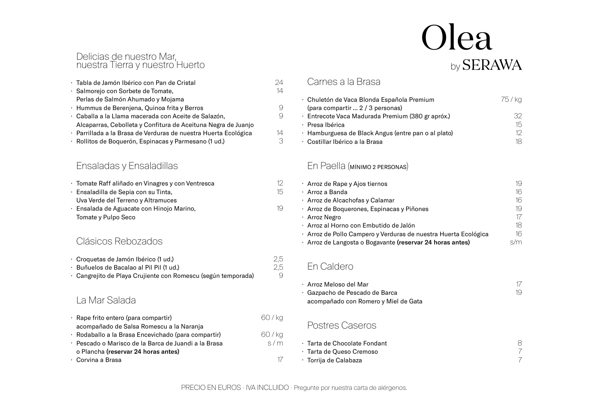#### Delicias de nuestro Mar, nuestra Tierra y nuestro Huerto

| · Tabla de Jamón Ibérico con Pan de Cristal                     | 24. |
|-----------------------------------------------------------------|-----|
| · Salmorejo con Sorbete de Tomate,                              | 14  |
| Perlas de Salmón Ahumado y Mojama                               |     |
| · Hummus de Berenjena, Quinoa frita y Berros                    | 9   |
| · Caballa a la Llama macerada con Aceite de Salazón,            | 9   |
| Alcaparras, Cebolleta y Confitura de Aceituna Negra de Juanjo   |     |
| · Parrillada a la Brasa de Verduras de nuestra Huerta Ecológica | 14  |
| · Rollitos de Boquerón, Espinacas y Parmesano (1 ud.)           | 3   |

# Ensaladas y Ensaladillas

| · Tomate Raff aliñado en Vinagres y con Ventresca | 12. |
|---------------------------------------------------|-----|
| · Ensaladilla de Sepia con su Tinta,              | 15  |
| Uva Verde del Terreno y Altramuces                |     |
| · Ensalada de Aguacate con Hinojo Marino,         | 19  |
| Tomate y Pulpo Seco                               |     |

#### Clásicos Rebozados

| · Croquetas de Jamón Ibérico (1 ud.)         |
|----------------------------------------------|
| D. S. L. J. D. J. L. J. D. L. J. D. D. J. A. |

Buñuelos de Bacalao al Pil Pil (1 ud.) · Cangrejito de Playa Crujiente con Romescu (según temporada) ·

# La Mar Salada

| · Rape frito entero (para compartir)                 | 60 / ka |
|------------------------------------------------------|---------|
| acompañado de Salsa Romescu a la Naranja             |         |
| · Rodaballo a la Brasa Encevichado (para compartir)  | 60 / ka |
| · Pescado o Marisco de la Barca de Juandi a la Brasa | s/m     |
| o Plancha (reservar 24 horas antes)                  |         |
| · Corvina a Brasa                                    |         |

# Carnes a la Brasa

| · Chuletón de Vaca Blonda Española Premium          | 75 / ka |
|-----------------------------------------------------|---------|
| (para compartir  2 / 3 personas)                    |         |
| · Entrecote Vaca Madurada Premium (380 gr apróx.)   | 37.     |
| · Presa Ibérica                                     | 15      |
| · Hamburguesa de Black Angus (entre pan o al plato) | 12.     |
| · Costillar Ibérico a la Brasa                      |         |

Olea

by SERAWA

# En Paella (MÍNIMO 2 PERSONAS)

| · Arroz de Rape y Ajos tiernos                                  | 19  |
|-----------------------------------------------------------------|-----|
| · Arroz a Banda                                                 | 16  |
| · Arroz de Alcachofas y Calamar                                 | 16  |
| · Arroz de Boquerones, Espinacas y Piñones                      | 19  |
| · Arroz Negro                                                   | 17  |
| · Arroz al Horno con Embutido de Jalón                          | 18  |
| · Arroz de Pollo Campero y Verduras de nuestra Huerta Ecológica | 16  |
| · Arroz de Langosta o Bogavante (reservar 24 horas antes)       | s/m |

#### En Caldero

| · Arroz Meloso del Mar               |  |
|--------------------------------------|--|
| · Gazpacho de Pescado de Barca       |  |
| acompañado con Romero y Miel de Gata |  |

# Postres Caseros

| ← Tarta de Chocolate Fondant |  |
|------------------------------|--|
| · Tarta de Queso Cremoso     |  |
| · Torrija de Calabaza        |  |

2,5 2,5 9